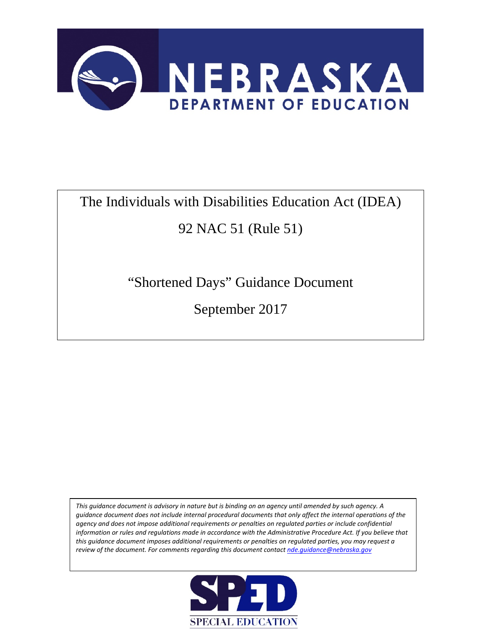

## The Individuals with Disabilities Education Act (IDEA)

## 92 NAC 51 (Rule 51)

"Shortened Days" Guidance Document

September 2017

*This guidance document is advisory in nature but is binding on an agency until amended by such agency. A guidance document does not include internal procedural documents that only affect the internal operations of the agency and does not impose additional requirements or penalties on regulated parties or include confidential information or rules and regulations made in accordance with the Administrative Procedure Act. If you believe that this guidance document imposes additional requirements or penalties on regulated parties, you may request a review of the document. For comments regarding this document contac[t nde.guidance@nebraska.gov](mailto:nde.guidance@nebraska.gov)*

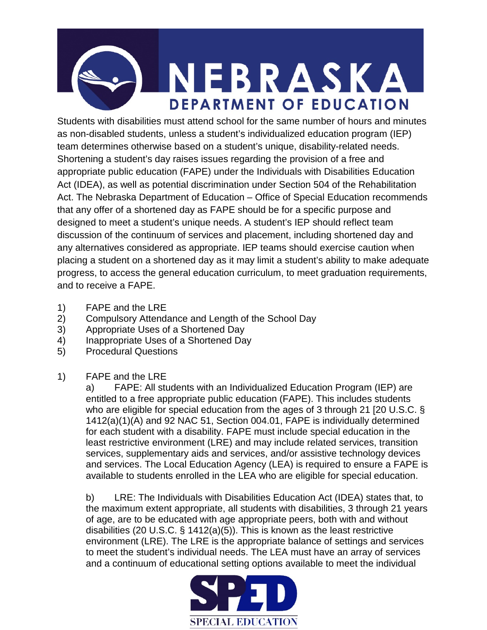

Students with disabilities must attend school for the same number of hours and minutes as non-disabled students, unless a student's individualized education program (IEP) team determines otherwise based on a student's unique, disability-related needs. Shortening a student's day raises issues regarding the provision of a free and appropriate public education (FAPE) under the Individuals with Disabilities Education Act (IDEA), as well as potential discrimination under Section 504 of the Rehabilitation Act. The Nebraska Department of Education – Office of Special Education recommends that any offer of a shortened day as FAPE should be for a specific purpose and designed to meet a student's unique needs. A student's IEP should reflect team discussion of the continuum of services and placement, including shortened day and any alternatives considered as appropriate. IEP teams should exercise caution when placing a student on a shortened day as it may limit a student's ability to make adequate progress, to access the general education curriculum, to meet graduation requirements, and to receive a FAPE.

- 1) FAPE and the LRE
- 2) Compulsory Attendance and Length of the School Day
- 3) Appropriate Uses of a Shortened Day
- 4) Inappropriate Uses of a Shortened Day
- 5) Procedural Questions
- 1) FAPE and the LRE

a) FAPE: All students with an Individualized Education Program (IEP) are entitled to a free appropriate public education (FAPE). This includes students who are eligible for special education from the ages of 3 through 21 [20 U.S.C. § 1412(a)(1)(A) and 92 NAC 51, Section 004.01, FAPE is individually determined for each student with a disability. FAPE must include special education in the least restrictive environment (LRE) and may include related services, transition services, supplementary aids and services, and/or assistive technology devices and services. The Local Education Agency (LEA) is required to ensure a FAPE is available to students enrolled in the LEA who are eligible for special education.

b) LRE: The Individuals with Disabilities Education Act (IDEA) states that, to the maximum extent appropriate, all students with disabilities, 3 through 21 years of age, are to be educated with age appropriate peers, both with and without disabilities (20 U.S.C. § 1412(a)(5)). This is known as the least restrictive environment (LRE). The LRE is the appropriate balance of settings and services to meet the student's individual needs. The LEA must have an array of services and a continuum of educational setting options available to meet the individual

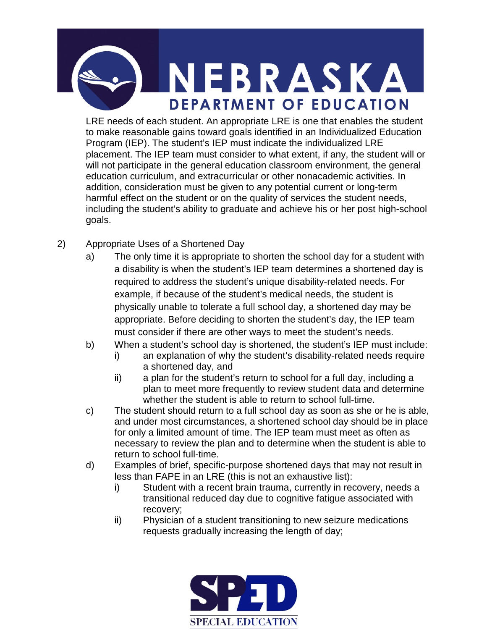

LRE needs of each student. An appropriate LRE is one that enables the student to make reasonable gains toward goals identified in an Individualized Education Program (IEP). The student's IEP must indicate the individualized LRE placement. The IEP team must consider to what extent, if any, the student will or will not participate in the general education classroom environment, the general education curriculum, and extracurricular or other nonacademic activities. In addition, consideration must be given to any potential current or long-term harmful effect on the student or on the quality of services the student needs, including the student's ability to graduate and achieve his or her post high-school goals.

- 2) Appropriate Uses of a Shortened Day
	- a) The only time it is appropriate to shorten the school day for a student with a disability is when the student's IEP team determines a shortened day is required to address the student's unique disability-related needs. For example, if because of the student's medical needs, the student is physically unable to tolerate a full school day, a shortened day may be appropriate. Before deciding to shorten the student's day, the IEP team must consider if there are other ways to meet the student's needs.
	- b) When a student's school day is shortened, the student's IEP must include:
		- i) an explanation of why the student's disability-related needs require a shortened day, and
		- ii) a plan for the student's return to school for a full day, including a plan to meet more frequently to review student data and determine whether the student is able to return to school full-time.
	- c) The student should return to a full school day as soon as she or he is able, and under most circumstances, a shortened school day should be in place for only a limited amount of time. The IEP team must meet as often as necessary to review the plan and to determine when the student is able to return to school full-time.
	- d) Examples of brief, specific-purpose shortened days that may not result in less than FAPE in an LRE (this is not an exhaustive list):
		- i) Student with a recent brain trauma, currently in recovery, needs a transitional reduced day due to cognitive fatigue associated with recovery;
		- ii) Physician of a student transitioning to new seizure medications requests gradually increasing the length of day;

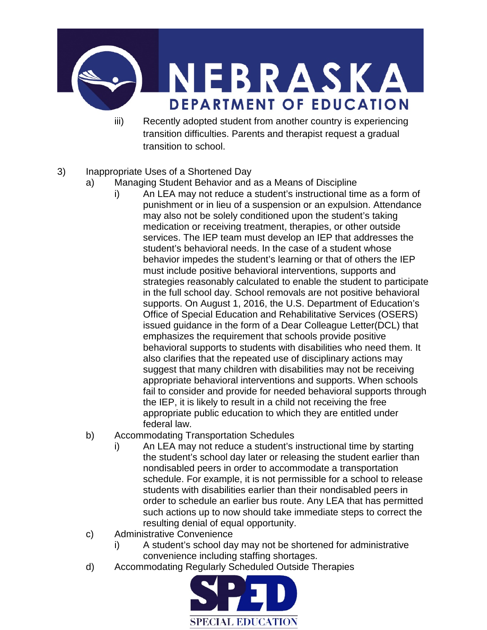

iii) Recently adopted student from another country is experiencing transition difficulties. Parents and therapist request a gradual transition to school.

## 3) Inappropriate Uses of a Shortened Day

- a) Managing Student Behavior and as a Means of Discipline
	- i) An LEA may not reduce a student's instructional time as a form of punishment or in lieu of a suspension or an expulsion. Attendance may also not be solely conditioned upon the student's taking medication or receiving treatment, therapies, or other outside services. The IEP team must develop an IEP that addresses the student's behavioral needs. In the case of a student whose behavior impedes the student's learning or that of others the IEP must include positive behavioral interventions, supports and strategies reasonably calculated to enable the student to participate in the full school day. School removals are not positive behavioral supports. On August 1, 2016, the U.S. Department of Education's Office of Special Education and Rehabilitative Services (OSERS) issued guidance in the form of a Dear Colleague Letter(DCL) that emphasizes the requirement that schools provide positive behavioral supports to students with disabilities who need them. It also clarifies that the repeated use of disciplinary actions may suggest that many children with disabilities may not be receiving appropriate behavioral interventions and supports. When schools fail to consider and provide for needed behavioral supports through the IEP, it is likely to result in a child not receiving the free appropriate public education to which they are entitled under federal law.
- b) Accommodating Transportation Schedules
	- i) An LEA may not reduce a student's instructional time by starting the student's school day later or releasing the student earlier than nondisabled peers in order to accommodate a transportation schedule. For example, it is not permissible for a school to release students with disabilities earlier than their nondisabled peers in order to schedule an earlier bus route. Any LEA that has permitted such actions up to now should take immediate steps to correct the resulting denial of equal opportunity.
- c) Administrative Convenience
	- i) A student's school day may not be shortened for administrative convenience including staffing shortages.
- d) Accommodating Regularly Scheduled Outside Therapies

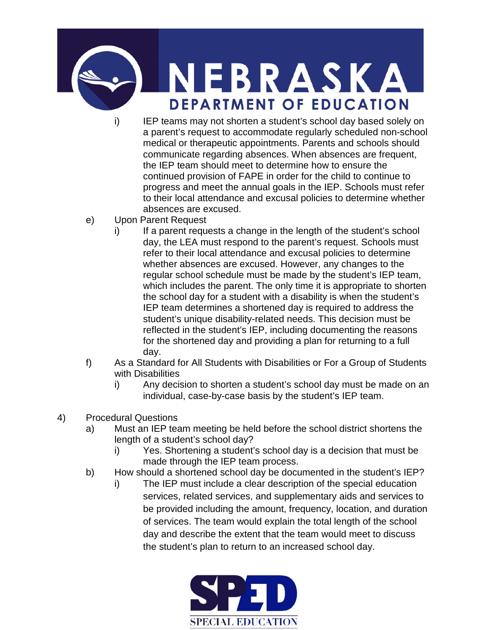

- i) IEP teams may not shorten a student's school day based solely on a parent's request to accommodate regularly scheduled non-school medical or therapeutic appointments. Parents and schools should communicate regarding absences. When absences are frequent, the IEP team should meet to determine how to ensure the continued provision of FAPE in order for the child to continue to progress and meet the annual goals in the IEP. Schools must refer to their local attendance and excusal policies to determine whether absences are excused.
- e) Upon Parent Request
	- i) If a parent requests a change in the length of the student's school day, the LEA must respond to the parent's request. Schools must refer to their local attendance and excusal policies to determine whether absences are excused. However, any changes to the regular school schedule must be made by the student's IEP team, which includes the parent. The only time it is appropriate to shorten the school day for a student with a disability is when the student's IEP team determines a shortened day is required to address the student's unique disability-related needs. This decision must be reflected in the student's IEP, including documenting the reasons for the shortened day and providing a plan for returning to a full day.
- f) As a Standard for All Students with Disabilities or For a Group of Students with Disabilities
	- i) Any decision to shorten a student's school day must be made on an individual, case-by-case basis by the student's IEP team.
- 4) Procedural Questions
	- a) Must an IEP team meeting be held before the school district shortens the length of a student's school day?
		- i) Yes. Shortening a student's school day is a decision that must be made through the IEP team process.
	- b) How should a shortened school day be documented in the student's IEP?
		- i) The IEP must include a clear description of the special education services, related services, and supplementary aids and services to be provided including the amount, frequency, location, and duration of services. The team would explain the total length of the school day and describe the extent that the team would meet to discuss the student's plan to return to an increased school day.

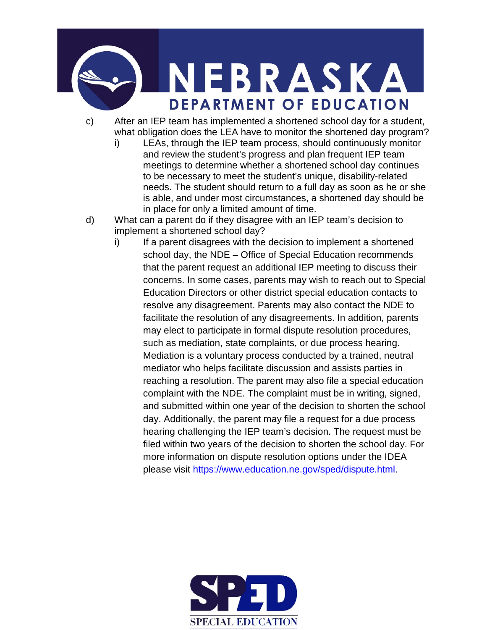

- c) After an IEP team has implemented a shortened school day for a student, what obligation does the LEA have to monitor the shortened day program?
	- i) LEAs, through the IEP team process, should continuously monitor and review the student's progress and plan frequent IEP team meetings to determine whether a shortened school day continues to be necessary to meet the student's unique, disability-related needs. The student should return to a full day as soon as he or she is able, and under most circumstances, a shortened day should be in place for only a limited amount of time.
- d) What can a parent do if they disagree with an IEP team's decision to implement a shortened school day?
	- i) If a parent disagrees with the decision to implement a shortened school day, the NDE – Office of Special Education recommends that the parent request an additional IEP meeting to discuss their concerns. In some cases, parents may wish to reach out to Special Education Directors or other district special education contacts to resolve any disagreement. Parents may also contact the NDE to facilitate the resolution of any disagreements. In addition, parents may elect to participate in formal dispute resolution procedures, such as mediation, state complaints, or due process hearing. Mediation is a voluntary process conducted by a trained, neutral mediator who helps facilitate discussion and assists parties in reaching a resolution. The parent may also file a special education complaint with the NDE. The complaint must be in writing, signed, and submitted within one year of the decision to shorten the school day. Additionally, the parent may file a request for a due process hearing challenging the IEP team's decision. The request must be filed within two years of the decision to shorten the school day. For more information on dispute resolution options under the IDEA please visit [https://www.education.ne.gov/sped/dispute.html.](https://www.education.ne.gov/sped/dispute.html)

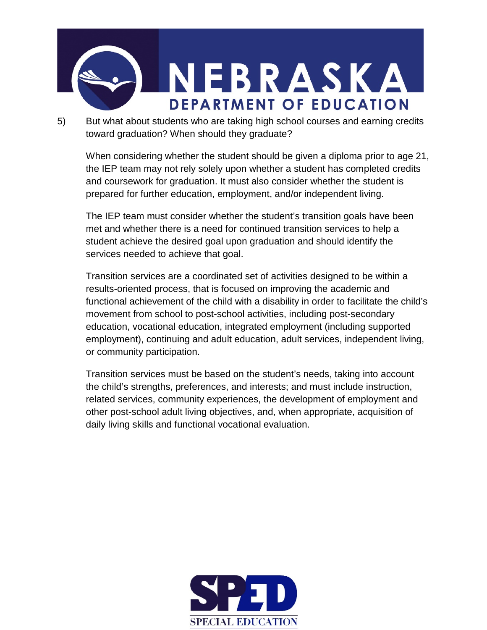

5) But what about students who are taking high school courses and earning credits toward graduation? When should they graduate?

When considering whether the student should be given a diploma prior to age 21, the IEP team may not rely solely upon whether a student has completed credits and coursework for graduation. It must also consider whether the student is prepared for further education, employment, and/or independent living.

The IEP team must consider whether the student's transition goals have been met and whether there is a need for continued transition services to help a student achieve the desired goal upon graduation and should identify the services needed to achieve that goal.

Transition services are a coordinated set of activities designed to be within a results-oriented process, that is focused on improving the academic and functional achievement of the child with a disability in order to facilitate the child's movement from school to post-school activities, including post-secondary education, vocational education, integrated employment (including supported employment), continuing and adult education, adult services, independent living, or community participation.

Transition services must be based on the student's needs, taking into account the child's strengths, preferences, and interests; and must include instruction, related services, community experiences, the development of employment and other post-school adult living objectives, and, when appropriate, acquisition of daily living skills and functional vocational evaluation.

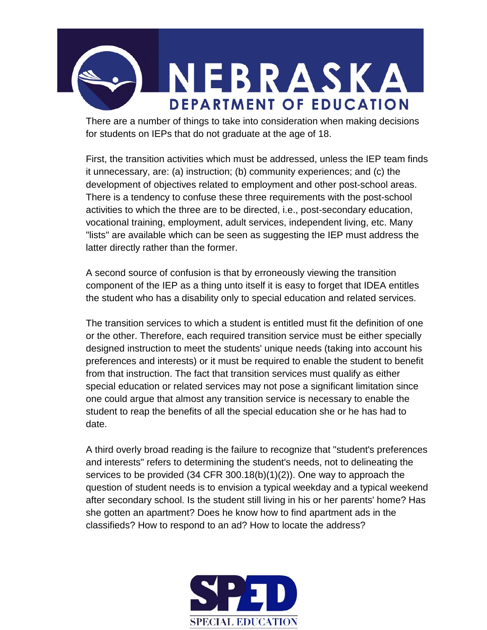

There are a number of things to take into consideration when making decisions for students on IEPs that do not graduate at the age of 18.

First, the transition activities which must be addressed, unless the IEP team finds it unnecessary, are: (a) instruction; (b) community experiences; and (c) the development of objectives related to employment and other post-school areas. There is a tendency to confuse these three requirements with the post-school activities to which the three are to be directed, i.e., post-secondary education, vocational training, employment, adult services, independent living, etc. Many "lists" are available which can be seen as suggesting the IEP must address the latter directly rather than the former.

A second source of confusion is that by erroneously viewing the transition component of the IEP as a thing unto itself it is easy to forget that IDEA entitles the student who has a disability only to special education and related services.

The transition services to which a student is entitled must fit the definition of one or the other. Therefore, each required transition service must be either specially designed instruction to meet the students' unique needs (taking into account his preferences and interests) or it must be required to enable the student to benefit from that instruction. The fact that transition services must qualify as either special education or related services may not pose a significant limitation since one could argue that almost any transition service is necessary to enable the student to reap the benefits of all the special education she or he has had to date.

A third overly broad reading is the failure to recognize that "student's preferences and interests" refers to determining the student's needs, not to delineating the services to be provided (34 CFR 300.18(b)(1)(2)). One way to approach the question of student needs is to envision a typical weekday and a typical weekend after secondary school. Is the student still living in his or her parents' home? Has she gotten an apartment? Does he know how to find apartment ads in the classifieds? How to respond to an ad? How to locate the address?